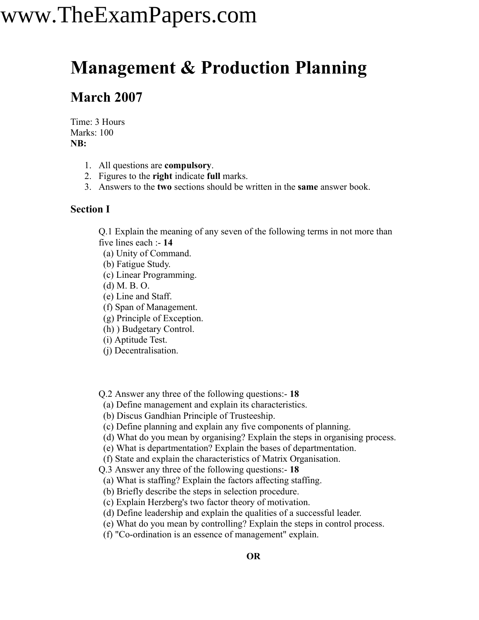## www.TheExamPapers.com

### **Management & Production Planning**

### **March 2007**

Time: 3 Hours Marks: 100 **NB:**

- 1. All questions are **compulsory**.
- 2. Figures to the **right** indicate **full** marks.
- 3. Answers to the **two** sections should be written in the **same** answer book.

### **Section I**

Q.1 Explain the meaning of any seven of the following terms in not more than five lines each :- **14**

- (a) Unity of Command.
- (b) Fatigue Study.
- (c) Linear Programming.
- (d) M. B. O.
- (e) Line and Staff.
- (f) Span of Management.
- (g) Principle of Exception.
- (h) ) Budgetary Control.
- (i) Aptitude Test.
- (j) Decentralisation.
- Q.2 Answer any three of the following questions:- **18**
- (a) Define management and explain its characteristics.
- (b) Discus Gandhian Principle of Trusteeship.
- (c) Define planning and explain any five components of planning.
- (d) What do you mean by organising? Explain the steps in organising process.
- (e) What is departmentation? Explain the bases of departmentation.
- (f) State and explain the characteristics of Matrix Organisation.

Q.3 Answer any three of the following questions:- **18**

- (a) What is staffing? Explain the factors affecting staffing.
- (b) Briefly describe the steps in selection procedure.
- (c) Explain Herzberg's two factor theory of motivation.
- (d) Define leadership and explain the qualities of a successful leader.
- (e) What do you mean by controlling? Explain the steps in control process.
- (f) "Co-ordination is an essence of management" explain.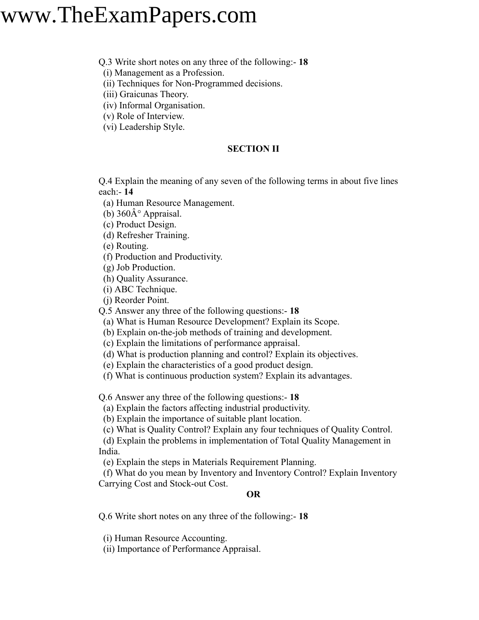### www.TheExamPapers.com

#### Q.3 Write short notes on any three of the following:- **18**

(i) Management as a Profession.

(ii) Techniques for Non-Programmed decisions.

(iii) Graicunas Theory.

(iv) Informal Organisation.

(v) Role of Interview.

(vi) Leadership Style.

#### **SECTION II**

Q.4 Explain the meaning of any seven of the following terms in about five lines each:- **14**

(a) Human Resource Management.

(b)  $360\text{\AA}^\circ$  Appraisal.

(c) Product Design.

(d) Refresher Training.

(e) Routing.

(f) Production and Productivity.

(g) Job Production.

(h) Quality Assurance.

(i) ABC Technique.

(j) Reorder Point.

Q.5 Answer any three of the following questions:- **18**

(a) What is Human Resource Development? Explain its Scope.

(b) Explain on-the-job methods of training and development.

(c) Explain the limitations of performance appraisal.

(d) What is production planning and control? Explain its objectives.

(e) Explain the characteristics of a good product design.

(f) What is continuous production system? Explain its advantages.

Q.6 Answer any three of the following questions:- **18**

(a) Explain the factors affecting industrial productivity.

(b) Explain the importance of suitable plant location.

(c) What is Quality Control? Explain any four techniques of Quality Control.

(d) Explain the problems in implementation of Total Quality Management in India.

(e) Explain the steps in Materials Requirement Planning.

(f) What do you mean by Inventory and Inventory Control? Explain Inventory Carrying Cost and Stock-out Cost.

#### **OR**

Q.6 Write short notes on any three of the following:- **18**

(i) Human Resource Accounting.

(ii) Importance of Performance Appraisal.